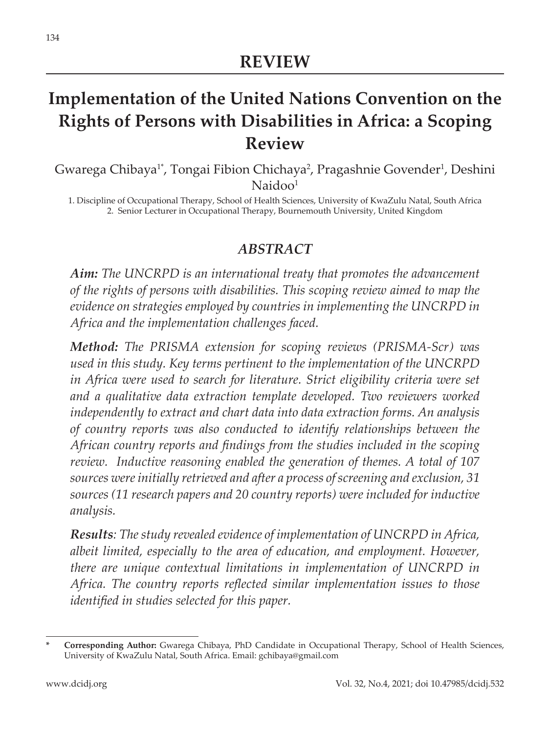# **Implementation of the United Nations Convention on the Rights of Persons with Disabilities in Africa: a Scoping Review**

Gwarega Chibaya<sup>1\*</sup>, Tongai Fibion Chichaya<sup>2</sup>, Pragashnie Govender<sup>1</sup>, Deshini Naidoo<sup>1</sup>

1. Discipline of Occupational Therapy, School of Health Sciences, University of KwaZulu Natal, South Africa 2. Senior Lecturer in Occupational Therapy, Bournemouth University, United Kingdom

#### *ABSTRACT*

*Aim: The UNCRPD is an international treaty that promotes the advancement of the rights of persons with disabilities. This scoping review aimed to map the evidence on strategies employed by countries in implementing the UNCRPD in Africa and the implementation challenges faced.*

*Method: The PRISMA extension for scoping reviews (PRISMA-Scr) was used in this study. Key terms pertinent to the implementation of the UNCRPD in Africa were used to search for literature. Strict eligibility criteria were set and a qualitative data extraction template developed. Two reviewers worked independently to extract and chart data into data extraction forms. An analysis of country reports was also conducted to identify relationships between the African country reports and findings from the studies included in the scoping review. Inductive reasoning enabled the generation of themes. A total of 107 sources were initially retrieved and after a process of screening and exclusion, 31 sources (11 research papers and 20 country reports) were included for inductive analysis.* 

*Results: The study revealed evidence of implementation of UNCRPD in Africa, albeit limited, especially to the area of education, and employment. However, there are unique contextual limitations in implementation of UNCRPD in Africa. The country reports reflected similar implementation issues to those identified in studies selected for this paper.* 

**<sup>\*</sup> Corresponding Author:** Gwarega Chibaya, PhD Candidate in Occupational Therapy, School of Health Sciences, University of KwaZulu Natal, South Africa. Email: gchibaya@gmail.com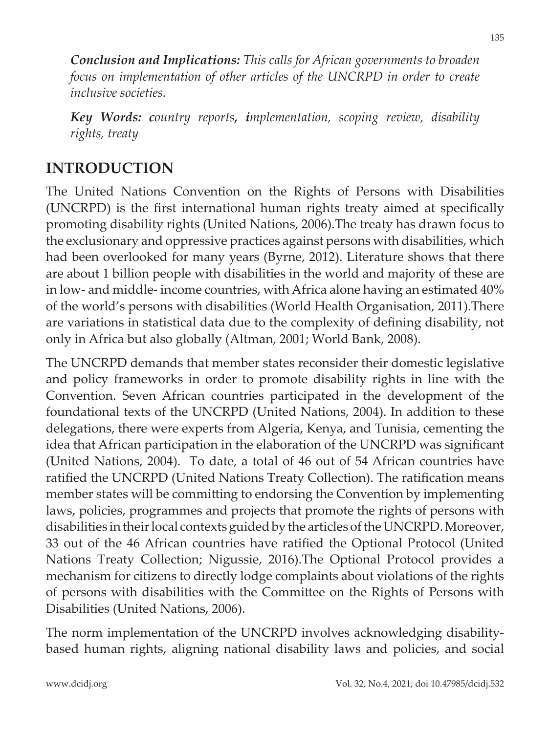*Conclusion and Implications: This calls for African governments to broaden focus on implementation of other articles of the UNCRPD in order to create inclusive societies.* 

*Key Words: country reports, implementation, scoping review, disability rights, treaty*

## **INTRODUCTION**

The United Nations Convention on the Rights of Persons with Disabilities (UNCRPD) is the first international human rights treaty aimed at specifically promoting disability rights (United Nations, 2006).The treaty has drawn focus to the exclusionary and oppressive practices against persons with disabilities, which had been overlooked for many years (Byrne, 2012). Literature shows that there are about 1 billion people with disabilities in the world and majority of these are in low- and middle- income countries, with Africa alone having an estimated 40% of the world's persons with disabilities (World Health Organisation, 2011).There are variations in statistical data due to the complexity of defining disability, not only in Africa but also globally (Altman, 2001; World Bank, 2008).

The UNCRPD demands that member states reconsider their domestic legislative and policy frameworks in order to promote disability rights in line with the Convention. Seven African countries participated in the development of the foundational texts of the UNCRPD (United Nations, 2004). In addition to these delegations, there were experts from Algeria, Kenya, and Tunisia, cementing the idea that African participation in the elaboration of the UNCRPD was significant (United Nations, 2004). To date, a total of 46 out of 54 African countries have ratified the UNCRPD (United Nations Treaty Collection). The ratification means member states will be committing to endorsing the Convention by implementing laws, policies, programmes and projects that promote the rights of persons with disabilities in their local contexts guided by the articles of the UNCRPD. Moreover, 33 out of the 46 African countries have ratified the Optional Protocol (United Nations Treaty Collection; Nigussie, 2016).The Optional Protocol provides a mechanism for citizens to directly lodge complaints about violations of the rights of persons with disabilities with the Committee on the Rights of Persons with Disabilities (United Nations, 2006).

The norm implementation of the UNCRPD involves acknowledging disabilitybased human rights, aligning national disability laws and policies, and social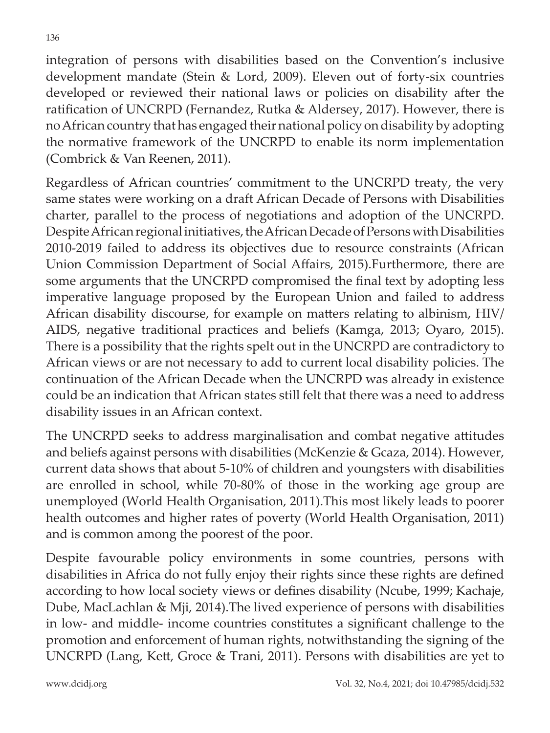integration of persons with disabilities based on the Convention's inclusive development mandate (Stein & Lord, 2009). Eleven out of forty-six countries developed or reviewed their national laws or policies on disability after the ratification of UNCRPD (Fernandez, Rutka & Aldersey, 2017). However, there is no African country that has engaged their national policy on disability by adopting the normative framework of the UNCRPD to enable its norm implementation (Combrick & Van Reenen, 2011).

Regardless of African countries' commitment to the UNCRPD treaty, the very same states were working on a draft African Decade of Persons with Disabilities charter, parallel to the process of negotiations and adoption of the UNCRPD. Despite African regional initiatives, the African Decade of Persons with Disabilities 2010-2019 failed to address its objectives due to resource constraints (African Union Commission Department of Social Affairs, 2015).Furthermore, there are some arguments that the UNCRPD compromised the final text by adopting less imperative language proposed by the European Union and failed to address African disability discourse, for example on matters relating to albinism, HIV/ AIDS, negative traditional practices and beliefs (Kamga, 2013; Oyaro, 2015). There is a possibility that the rights spelt out in the UNCRPD are contradictory to African views or are not necessary to add to current local disability policies. The continuation of the African Decade when the UNCRPD was already in existence could be an indication that African states still felt that there was a need to address disability issues in an African context.

The UNCRPD seeks to address marginalisation and combat negative attitudes and beliefs against persons with disabilities (McKenzie & Gcaza, 2014). However, current data shows that about 5-10% of children and youngsters with disabilities are enrolled in school, while 70-80% of those in the working age group are unemployed (World Health Organisation, 2011).This most likely leads to poorer health outcomes and higher rates of poverty (World Health Organisation, 2011) and is common among the poorest of the poor.

Despite favourable policy environments in some countries, persons with disabilities in Africa do not fully enjoy their rights since these rights are defined according to how local society views or defines disability (Ncube, 1999; Kachaje, Dube, MacLachlan & Mji, 2014).The lived experience of persons with disabilities in low- and middle- income countries constitutes a significant challenge to the promotion and enforcement of human rights, notwithstanding the signing of the UNCRPD (Lang, Kett, Groce & Trani, 2011). Persons with disabilities are yet to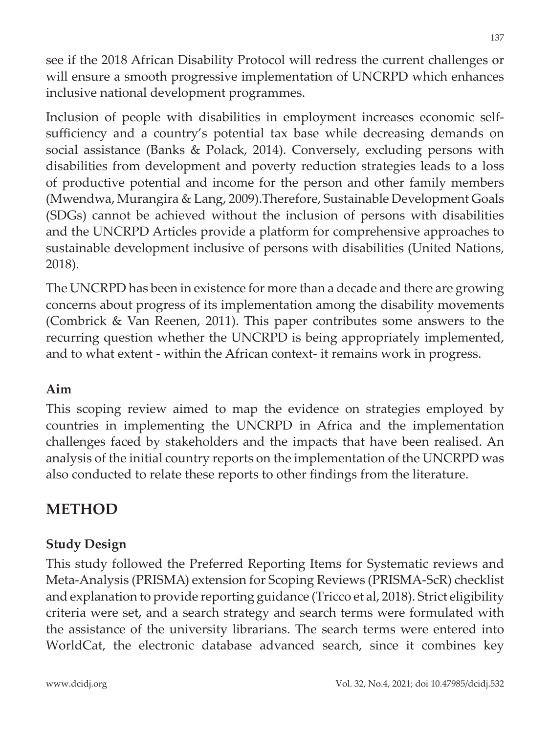see if the 2018 African Disability Protocol will redress the current challenges or will ensure a smooth progressive implementation of UNCRPD which enhances inclusive national development programmes.

Inclusion of people with disabilities in employment increases economic selfsufficiency and a country's potential tax base while decreasing demands on social assistance (Banks & Polack, 2014). Conversely, excluding persons with disabilities from development and poverty reduction strategies leads to a loss of productive potential and income for the person and other family members (Mwendwa, Murangira & Lang, 2009).Therefore, Sustainable Development Goals (SDGs) cannot be achieved without the inclusion of persons with disabilities and the UNCRPD Articles provide a platform for comprehensive approaches to sustainable development inclusive of persons with disabilities (United Nations, 2018).

The UNCRPD has been in existence for more than a decade and there are growing concerns about progress of its implementation among the disability movements (Combrick & Van Reenen, 2011). This paper contributes some answers to the recurring question whether the UNCRPD is being appropriately implemented, and to what extent - within the African context- it remains work in progress.

#### **Aim**

This scoping review aimed to map the evidence on strategies employed by countries in implementing the UNCRPD in Africa and the implementation challenges faced by stakeholders and the impacts that have been realised. An analysis of the initial country reports on the implementation of the UNCRPD was also conducted to relate these reports to other findings from the literature.

## **METHOD**

#### **Study Design**

This study followed the Preferred Reporting Items for Systematic reviews and Meta-Analysis (PRISMA) extension for Scoping Reviews (PRISMA-ScR) checklist and explanation to provide reporting guidance (Tricco et al, 2018). Strict eligibility criteria were set, and a search strategy and search terms were formulated with the assistance of the university librarians. The search terms were entered into WorldCat, the electronic database advanced search, since it combines key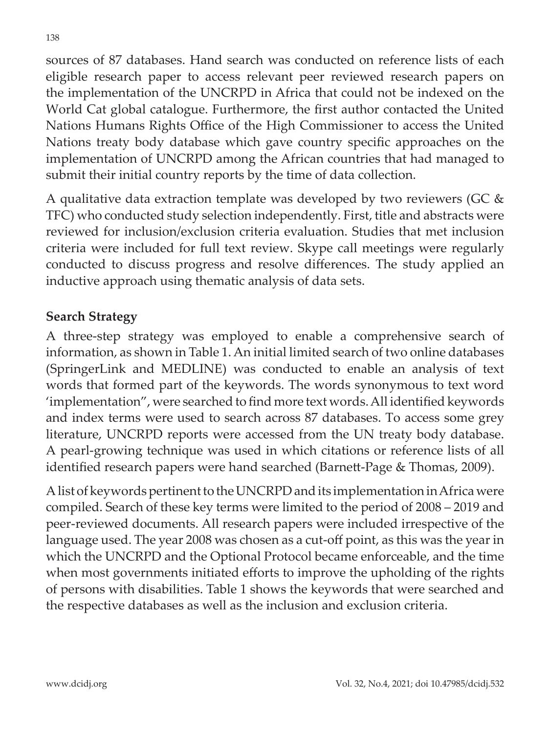sources of 87 databases. Hand search was conducted on reference lists of each eligible research paper to access relevant peer reviewed research papers on the implementation of the UNCRPD in Africa that could not be indexed on the World Cat global catalogue. Furthermore, the first author contacted the United Nations Humans Rights Office of the High Commissioner to access the United Nations treaty body database which gave country specific approaches on the implementation of UNCRPD among the African countries that had managed to submit their initial country reports by the time of data collection.

A qualitative data extraction template was developed by two reviewers (GC & TFC) who conducted study selection independently. First, title and abstracts were reviewed for inclusion/exclusion criteria evaluation. Studies that met inclusion criteria were included for full text review. Skype call meetings were regularly conducted to discuss progress and resolve differences. The study applied an inductive approach using thematic analysis of data sets.

#### **Search Strategy**

A three-step strategy was employed to enable a comprehensive search of information, as shown in Table 1. An initial limited search of two online databases (SpringerLink and MEDLINE) was conducted to enable an analysis of text words that formed part of the keywords. The words synonymous to text word 'implementation", were searched to find more text words. All identified keywords and index terms were used to search across 87 databases. To access some grey literature, UNCRPD reports were accessed from the UN treaty body database. A pearl-growing technique was used in which citations or reference lists of all identified research papers were hand searched (Barnett-Page & Thomas, 2009).

A list of keywords pertinent to the UNCRPD and its implementation in Africa were compiled. Search of these key terms were limited to the period of 2008 – 2019 and peer-reviewed documents. All research papers were included irrespective of the language used. The year 2008 was chosen as a cut-off point, as this was the year in which the UNCRPD and the Optional Protocol became enforceable, and the time when most governments initiated efforts to improve the upholding of the rights of persons with disabilities. Table 1 shows the keywords that were searched and the respective databases as well as the inclusion and exclusion criteria.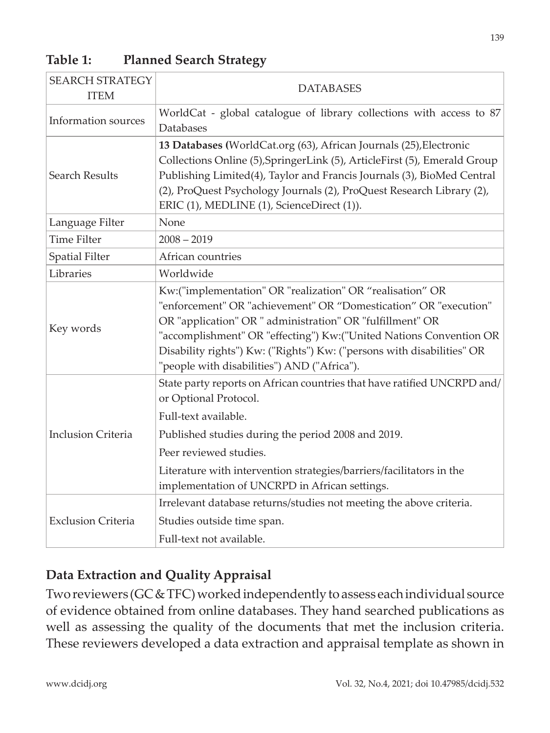| <b>SEARCH STRATEGY</b><br><b>ITEM</b> | <b>DATABASES</b>                                                                                                                                                                                                                                                                                                                                                                          |  |  |
|---------------------------------------|-------------------------------------------------------------------------------------------------------------------------------------------------------------------------------------------------------------------------------------------------------------------------------------------------------------------------------------------------------------------------------------------|--|--|
| Information sources                   | WorldCat - global catalogue of library collections with access to 87<br>Databases                                                                                                                                                                                                                                                                                                         |  |  |
| <b>Search Results</b>                 | 13 Databases (WorldCat.org (63), African Journals (25), Electronic<br>Collections Online (5), SpringerLink (5), ArticleFirst (5), Emerald Group<br>Publishing Limited(4), Taylor and Francis Journals (3), BioMed Central<br>(2), ProQuest Psychology Journals (2), ProQuest Research Library (2),<br>ERIC (1), MEDLINE (1), ScienceDirect (1)).                                          |  |  |
| Language Filter                       | None                                                                                                                                                                                                                                                                                                                                                                                      |  |  |
| <b>Time Filter</b>                    | $2008 - 2019$                                                                                                                                                                                                                                                                                                                                                                             |  |  |
| <b>Spatial Filter</b>                 | African countries                                                                                                                                                                                                                                                                                                                                                                         |  |  |
| Libraries                             | Worldwide                                                                                                                                                                                                                                                                                                                                                                                 |  |  |
| Key words                             | Kw:("implementation" OR "realization" OR "realisation" OR<br>"enforcement" OR "achievement" OR "Domestication" OR "execution"<br>OR "application" OR " administration" OR "fulfillment" OR<br>"accomplishment" OR "effecting") Kw:("United Nations Convention OR<br>Disability rights") Kw: ("Rights") Kw: ("persons with disabilities" OR<br>"people with disabilities") AND ("Africa"). |  |  |
| <b>Inclusion Criteria</b>             | State party reports on African countries that have ratified UNCRPD and/<br>or Optional Protocol.                                                                                                                                                                                                                                                                                          |  |  |
|                                       | Full-text available.                                                                                                                                                                                                                                                                                                                                                                      |  |  |
|                                       | Published studies during the period 2008 and 2019.                                                                                                                                                                                                                                                                                                                                        |  |  |
|                                       | Peer reviewed studies.                                                                                                                                                                                                                                                                                                                                                                    |  |  |
|                                       | Literature with intervention strategies/barriers/facilitators in the<br>implementation of UNCRPD in African settings.                                                                                                                                                                                                                                                                     |  |  |
| <b>Exclusion Criteria</b>             | Irrelevant database returns/studies not meeting the above criteria.                                                                                                                                                                                                                                                                                                                       |  |  |
|                                       | Studies outside time span.                                                                                                                                                                                                                                                                                                                                                                |  |  |
|                                       | Full-text not available.                                                                                                                                                                                                                                                                                                                                                                  |  |  |

### **Table 1: Planned Search Strategy**

#### **Data Extraction and Quality Appraisal**

Two reviewers (GC & TFC) worked independently to assess each individual source of evidence obtained from online databases. They hand searched publications as well as assessing the quality of the documents that met the inclusion criteria. These reviewers developed a data extraction and appraisal template as shown in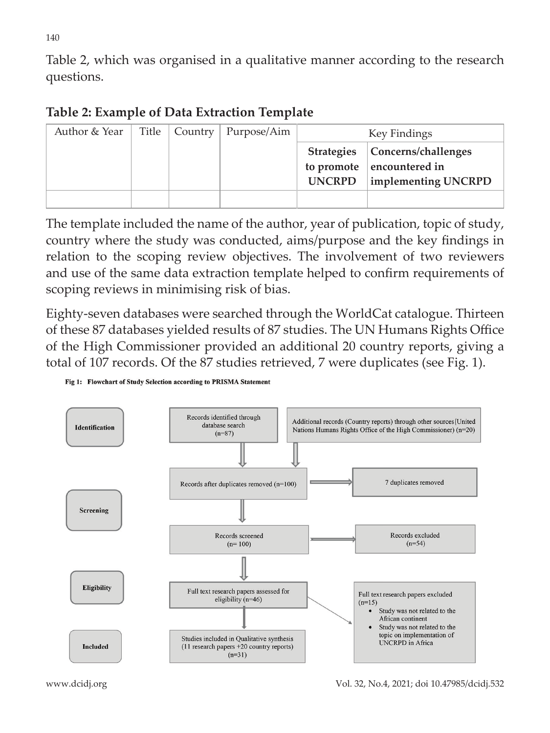Table 2, which was organised in a qualitative manner according to the research questions.

### **Table 2: Example of Data Extraction Template**

| Author & Year | Title   Country | Purpose/Aim | Key Findings                       |                                                                             |
|---------------|-----------------|-------------|------------------------------------|-----------------------------------------------------------------------------|
|               |                 |             | <b>Strategies</b><br><b>UNCRPD</b> | Concerns/challenges<br>to promote $ $ encountered in<br>implementing UNCRPD |
|               |                 |             |                                    |                                                                             |

The template included the name of the author, year of publication, topic of study, country where the study was conducted, aims/purpose and the key findings in relation to the scoping review objectives. The involvement of two reviewers and use of the same data extraction template helped to confirm requirements of scoping reviews in minimising risk of bias.

Eighty-seven databases were searched through the WorldCat catalogue. Thirteen of these 87 databases yielded results of 87 studies. The UN Humans Rights Office of the High Commissioner provided an additional 20 country reports, giving a total of 107 records. Of the 87 studies retrieved, 7 were duplicates (see Fig. 1).

#### Fig 1: Flowchart of Study Selection according to PRISMA Statement

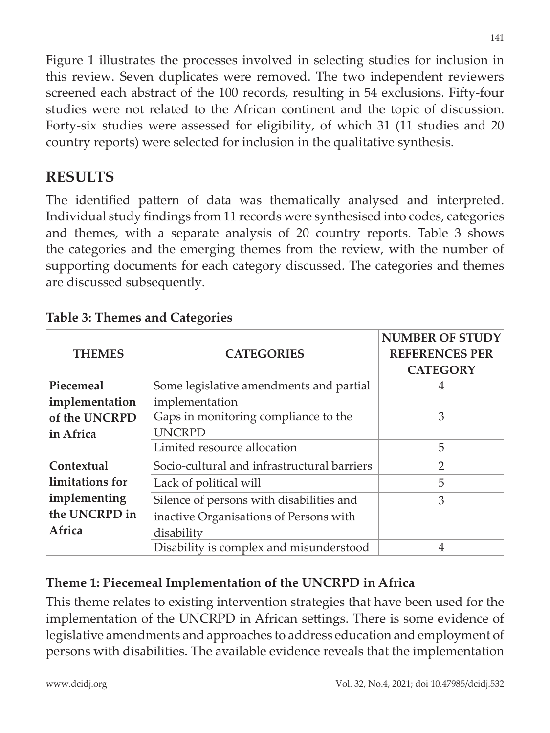Figure 1 illustrates the processes involved in selecting studies for inclusion in this review. Seven duplicates were removed. The two independent reviewers screened each abstract of the 100 records, resulting in 54 exclusions. Fifty-four studies were not related to the African continent and the topic of discussion. Forty-six studies were assessed for eligibility, of which 31 (11 studies and 20 country reports) were selected for inclusion in the qualitative synthesis.

## **RESULTS**

The identified pattern of data was thematically analysed and interpreted. Individual study findings from 11 records were synthesised into codes, categories and themes, with a separate analysis of 20 country reports. Table 3 shows the categories and the emerging themes from the review, with the number of supporting documents for each category discussed. The categories and themes are discussed subsequently.

| <b>THEMES</b>   | <b>CATEGORIES</b>                           | <b>NUMBER OF STUDY</b><br><b>REFERENCES PER</b><br><b>CATEGORY</b> |
|-----------------|---------------------------------------------|--------------------------------------------------------------------|
| Piecemeal       | Some legislative amendments and partial     | 4                                                                  |
| implementation  | implementation                              |                                                                    |
| of the UNCRPD   | Gaps in monitoring compliance to the        | 3                                                                  |
| in Africa       | <b>UNCRPD</b>                               |                                                                    |
|                 | Limited resource allocation                 | 5                                                                  |
| Contextual      | Socio-cultural and infrastructural barriers | $\overline{2}$                                                     |
| limitations for | Lack of political will                      | 5                                                                  |
| implementing    | Silence of persons with disabilities and    | 3                                                                  |
| the UNCRPD in   | inactive Organisations of Persons with      |                                                                    |
| Africa          | disability                                  |                                                                    |
|                 | Disability is complex and misunderstood     | 4                                                                  |

#### **Table 3: Themes and Categories**

## **Theme 1: Piecemeal Implementation of the UNCRPD in Africa**

This theme relates to existing intervention strategies that have been used for the implementation of the UNCRPD in African settings. There is some evidence of legislative amendments and approaches to address education and employment of persons with disabilities. The available evidence reveals that the implementation

141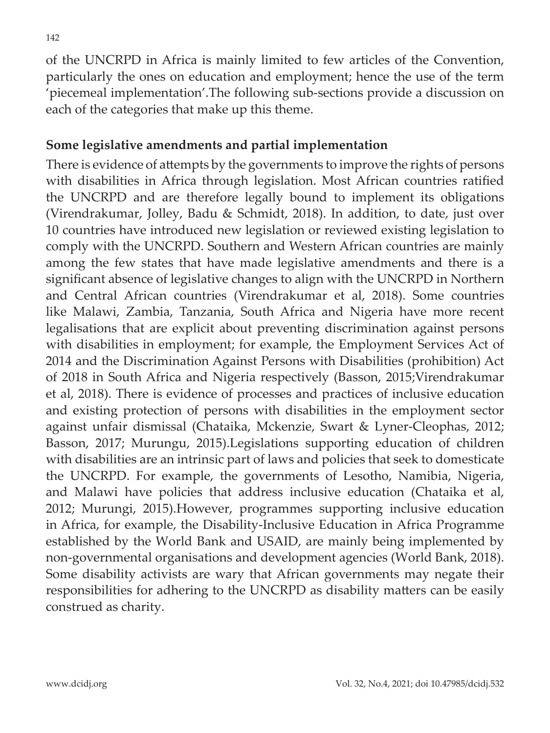of the UNCRPD in Africa is mainly limited to few articles of the Convention, particularly the ones on education and employment; hence the use of the term 'piecemeal implementation'.The following sub-sections provide a discussion on each of the categories that make up this theme.

#### **Some legislative amendments and partial implementation**

There is evidence of attempts by the governments to improve the rights of persons with disabilities in Africa through legislation. Most African countries ratified the UNCRPD and are therefore legally bound to implement its obligations (Virendrakumar, Jolley, Badu & Schmidt, 2018). In addition, to date, just over 10 countries have introduced new legislation or reviewed existing legislation to comply with the UNCRPD. Southern and Western African countries are mainly among the few states that have made legislative amendments and there is a significant absence of legislative changes to align with the UNCRPD in Northern and Central African countries (Virendrakumar et al, 2018). Some countries like Malawi, Zambia, Tanzania, South Africa and Nigeria have more recent legalisations that are explicit about preventing discrimination against persons with disabilities in employment; for example, the Employment Services Act of 2014 and the Discrimination Against Persons with Disabilities (prohibition) Act of 2018 in South Africa and Nigeria respectively (Basson, 2015;Virendrakumar et al, 2018). There is evidence of processes and practices of inclusive education and existing protection of persons with disabilities in the employment sector against unfair dismissal (Chataika, Mckenzie, Swart & Lyner-Cleophas, 2012; Basson, 2017; Murungu, 2015).Legislations supporting education of children with disabilities are an intrinsic part of laws and policies that seek to domesticate the UNCRPD. For example, the governments of Lesotho, Namibia, Nigeria, and Malawi have policies that address inclusive education (Chataika et al, 2012; Murungi, 2015).However, programmes supporting inclusive education in Africa, for example, the Disability-Inclusive Education in Africa Programme established by the World Bank and USAID, are mainly being implemented by non-governmental organisations and development agencies (World Bank, 2018). Some disability activists are wary that African governments may negate their responsibilities for adhering to the UNCRPD as disability matters can be easily construed as charity.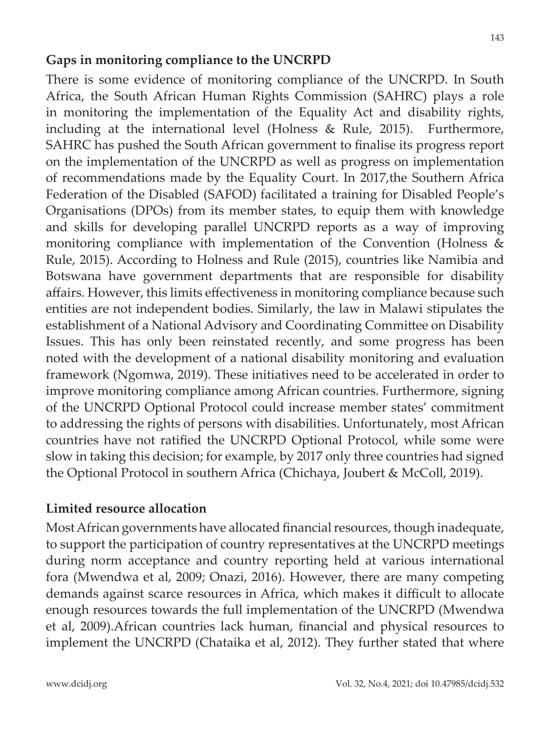#### **Gaps in monitoring compliance to the UNCRPD**

There is some evidence of monitoring compliance of the UNCRPD. In South Africa, the South African Human Rights Commission (SAHRC) plays a role in monitoring the implementation of the Equality Act and disability rights, including at the international level (Holness & Rule, 2015). Furthermore, SAHRC has pushed the South African government to finalise its progress report on the implementation of the UNCRPD as well as progress on implementation of recommendations made by the Equality Court. In 2017,the Southern Africa Federation of the Disabled (SAFOD) facilitated a training for Disabled People's Organisations (DPOs) from its member states, to equip them with knowledge and skills for developing parallel UNCRPD reports as a way of improving monitoring compliance with implementation of the Convention (Holness & Rule, 2015). According to Holness and Rule (2015), countries like Namibia and Botswana have government departments that are responsible for disability affairs. However, this limits effectiveness in monitoring compliance because such entities are not independent bodies. Similarly, the law in Malawi stipulates the establishment of a National Advisory and Coordinating Committee on Disability Issues. This has only been reinstated recently, and some progress has been noted with the development of a national disability monitoring and evaluation framework (Ngomwa, 2019). These initiatives need to be accelerated in order to improve monitoring compliance among African countries. Furthermore, signing of the UNCRPD Optional Protocol could increase member states' commitment to addressing the rights of persons with disabilities. Unfortunately, most African countries have not ratified the UNCRPD Optional Protocol, while some were slow in taking this decision; for example, by 2017 only three countries had signed the Optional Protocol in southern Africa (Chichaya, Joubert & McColl, 2019).

#### **Limited resource allocation**

Most African governments have allocated financial resources, though inadequate, to support the participation of country representatives at the UNCRPD meetings during norm acceptance and country reporting held at various international fora (Mwendwa et al, 2009; Onazi, 2016). However, there are many competing demands against scarce resources in Africa, which makes it difficult to allocate enough resources towards the full implementation of the UNCRPD (Mwendwa et al, 2009).African countries lack human, financial and physical resources to implement the UNCRPD (Chataika et al, 2012). They further stated that where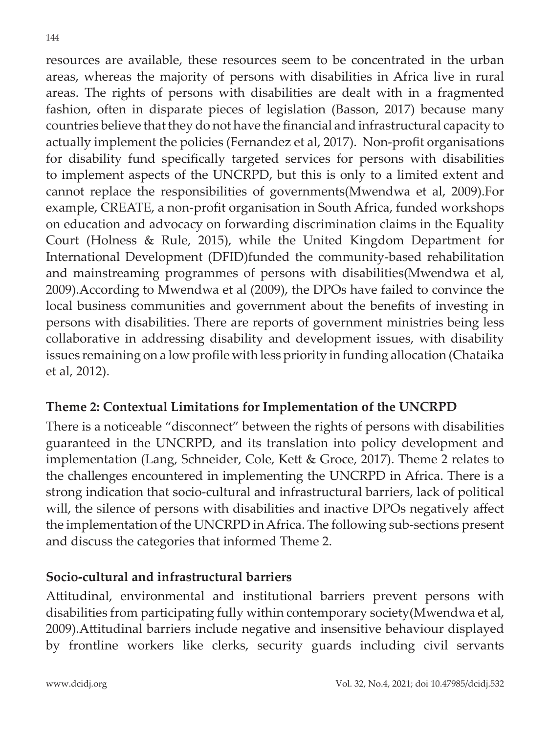resources are available, these resources seem to be concentrated in the urban areas, whereas the majority of persons with disabilities in Africa live in rural areas. The rights of persons with disabilities are dealt with in a fragmented fashion, often in disparate pieces of legislation (Basson, 2017) because many countries believe that they do not have the financial and infrastructural capacity to actually implement the policies (Fernandez et al, 2017). Non-profit organisations for disability fund specifically targeted services for persons with disabilities to implement aspects of the UNCRPD, but this is only to a limited extent and cannot replace the responsibilities of governments(Mwendwa et al, 2009).For example, CREATE, a non-profit organisation in South Africa, funded workshops on education and advocacy on forwarding discrimination claims in the Equality Court (Holness & Rule, 2015), while the United Kingdom Department for International Development (DFID)funded the community-based rehabilitation and mainstreaming programmes of persons with disabilities(Mwendwa et al, 2009).According to Mwendwa et al (2009), the DPOs have failed to convince the local business communities and government about the benefits of investing in persons with disabilities. There are reports of government ministries being less collaborative in addressing disability and development issues, with disability issues remaining on a low profile with less priority in funding allocation (Chataika et al, 2012).

### **Theme 2: Contextual Limitations for Implementation of the UNCRPD**

There is a noticeable "disconnect" between the rights of persons with disabilities guaranteed in the UNCRPD, and its translation into policy development and implementation (Lang, Schneider, Cole, Kett & Groce, 2017). Theme 2 relates to the challenges encountered in implementing the UNCRPD in Africa. There is a strong indication that socio-cultural and infrastructural barriers, lack of political will, the silence of persons with disabilities and inactive DPOs negatively affect the implementation of the UNCRPD in Africa. The following sub-sections present and discuss the categories that informed Theme 2.

### **Socio-cultural and infrastructural barriers**

Attitudinal, environmental and institutional barriers prevent persons with disabilities from participating fully within contemporary society(Mwendwa et al, 2009).Attitudinal barriers include negative and insensitive behaviour displayed by frontline workers like clerks, security guards including civil servants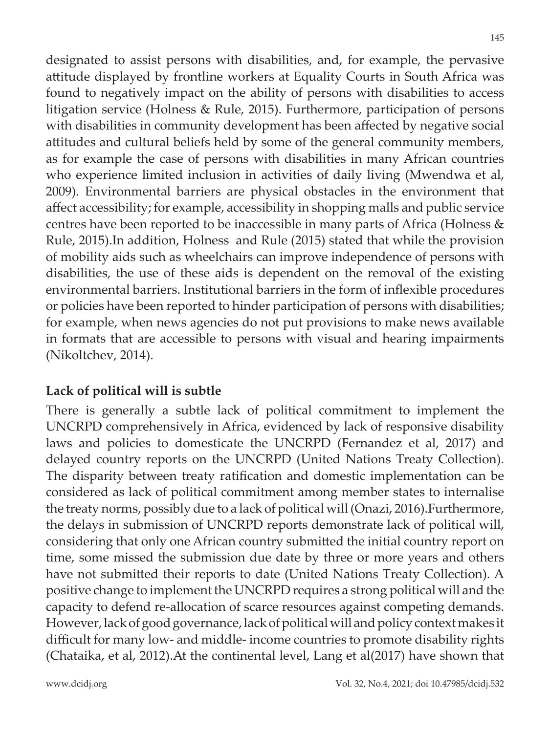designated to assist persons with disabilities, and, for example, the pervasive attitude displayed by frontline workers at Equality Courts in South Africa was found to negatively impact on the ability of persons with disabilities to access litigation service (Holness & Rule, 2015). Furthermore, participation of persons with disabilities in community development has been affected by negative social attitudes and cultural beliefs held by some of the general community members, as for example the case of persons with disabilities in many African countries who experience limited inclusion in activities of daily living (Mwendwa et al, 2009). Environmental barriers are physical obstacles in the environment that affect accessibility; for example, accessibility in shopping malls and public service centres have been reported to be inaccessible in many parts of Africa (Holness & Rule, 2015).In addition, Holness and Rule (2015) stated that while the provision of mobility aids such as wheelchairs can improve independence of persons with disabilities, the use of these aids is dependent on the removal of the existing environmental barriers. Institutional barriers in the form of inflexible procedures or policies have been reported to hinder participation of persons with disabilities; for example, when news agencies do not put provisions to make news available in formats that are accessible to persons with visual and hearing impairments (Nikoltchev, 2014).

#### **Lack of political will is subtle**

There is generally a subtle lack of political commitment to implement the UNCRPD comprehensively in Africa, evidenced by lack of responsive disability laws and policies to domesticate the UNCRPD (Fernandez et al, 2017) and delayed country reports on the UNCRPD (United Nations Treaty Collection). The disparity between treaty ratification and domestic implementation can be considered as lack of political commitment among member states to internalise the treaty norms, possibly due to a lack of political will (Onazi, 2016).Furthermore, the delays in submission of UNCRPD reports demonstrate lack of political will, considering that only one African country submitted the initial country report on time, some missed the submission due date by three or more years and others have not submitted their reports to date (United Nations Treaty Collection). A positive change to implement the UNCRPD requires a strong political will and the capacity to defend re-allocation of scarce resources against competing demands. However, lack of good governance, lack of political will and policy context makes it difficult for many low- and middle- income countries to promote disability rights (Chataika, et al, 2012).At the continental level, Lang et al(2017) have shown that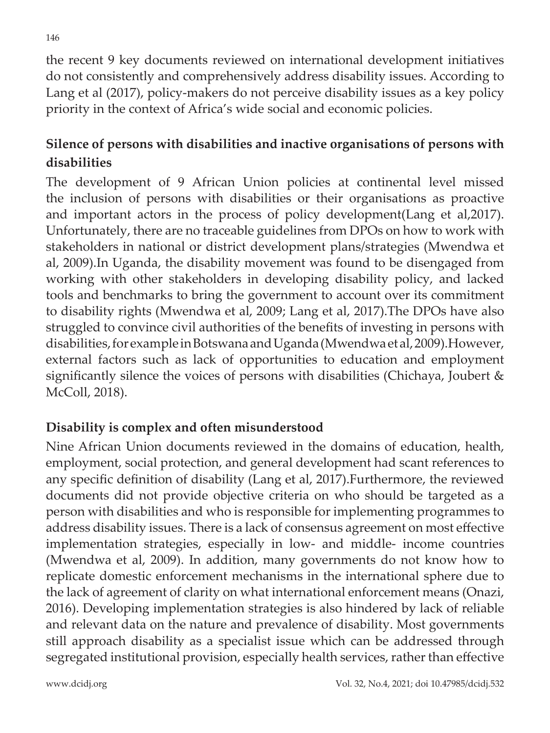the recent 9 key documents reviewed on international development initiatives do not consistently and comprehensively address disability issues. According to Lang et al (2017), policy-makers do not perceive disability issues as a key policy priority in the context of Africa's wide social and economic policies.

## **Silence of persons with disabilities and inactive organisations of persons with disabilities**

The development of 9 African Union policies at continental level missed the inclusion of persons with disabilities or their organisations as proactive and important actors in the process of policy development(Lang et al,2017). Unfortunately, there are no traceable guidelines from DPOs on how to work with stakeholders in national or district development plans/strategies (Mwendwa et al, 2009).In Uganda, the disability movement was found to be disengaged from working with other stakeholders in developing disability policy, and lacked tools and benchmarks to bring the government to account over its commitment to disability rights (Mwendwa et al, 2009; Lang et al, 2017).The DPOs have also struggled to convince civil authorities of the benefits of investing in persons with disabilities, for example in Botswana and Uganda (Mwendwa et al, 2009).However, external factors such as lack of opportunities to education and employment significantly silence the voices of persons with disabilities (Chichaya, Joubert & McColl, 2018).

### **Disability is complex and often misunderstood**

Nine African Union documents reviewed in the domains of education, health, employment, social protection, and general development had scant references to any specific definition of disability (Lang et al, 2017).Furthermore, the reviewed documents did not provide objective criteria on who should be targeted as a person with disabilities and who is responsible for implementing programmes to address disability issues. There is a lack of consensus agreement on most effective implementation strategies, especially in low- and middle- income countries (Mwendwa et al, 2009). In addition, many governments do not know how to replicate domestic enforcement mechanisms in the international sphere due to the lack of agreement of clarity on what international enforcement means (Onazi, 2016). Developing implementation strategies is also hindered by lack of reliable and relevant data on the nature and prevalence of disability. Most governments still approach disability as a specialist issue which can be addressed through segregated institutional provision, especially health services, rather than effective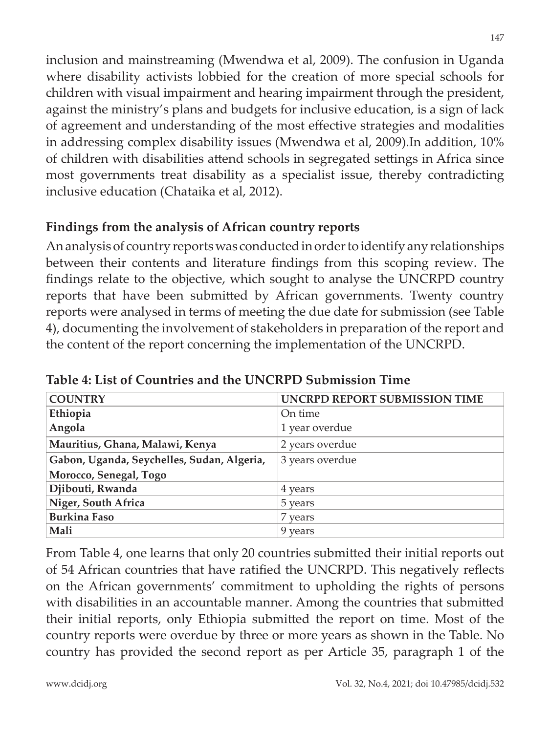inclusion and mainstreaming (Mwendwa et al, 2009). The confusion in Uganda where disability activists lobbied for the creation of more special schools for children with visual impairment and hearing impairment through the president, against the ministry's plans and budgets for inclusive education, is a sign of lack of agreement and understanding of the most effective strategies and modalities in addressing complex disability issues (Mwendwa et al, 2009).In addition, 10% of children with disabilities attend schools in segregated settings in Africa since most governments treat disability as a specialist issue, thereby contradicting inclusive education (Chataika et al, 2012).

### **Findings from the analysis of African country reports**

An analysis of country reports was conducted in order to identify any relationships between their contents and literature findings from this scoping review. The findings relate to the objective, which sought to analyse the UNCRPD country reports that have been submitted by African governments. Twenty country reports were analysed in terms of meeting the due date for submission (see Table 4), documenting the involvement of stakeholders in preparation of the report and the content of the report concerning the implementation of the UNCRPD.

| <b>COUNTRY</b>                             | UNCRPD REPORT SUBMISSION TIME |  |
|--------------------------------------------|-------------------------------|--|
| Ethiopia                                   | On time                       |  |
| Angola                                     | 1 year overdue                |  |
| Mauritius, Ghana, Malawi, Kenya            | 2 years overdue               |  |
| Gabon, Uganda, Seychelles, Sudan, Algeria, | 3 years overdue               |  |
| Morocco, Senegal, Togo                     |                               |  |
| Djibouti, Rwanda                           | 4 years                       |  |
| Niger, South Africa                        | 5 years                       |  |
| <b>Burkina Faso</b>                        | 7 years                       |  |
| Mali                                       | 9 years                       |  |

**Table 4: List of Countries and the UNCRPD Submission Time**

From Table 4, one learns that only 20 countries submitted their initial reports out of 54 African countries that have ratified the UNCRPD. This negatively reflects on the African governments' commitment to upholding the rights of persons with disabilities in an accountable manner. Among the countries that submitted their initial reports, only Ethiopia submitted the report on time. Most of the country reports were overdue by three or more years as shown in the Table. No country has provided the second report as per Article 35, paragraph 1 of the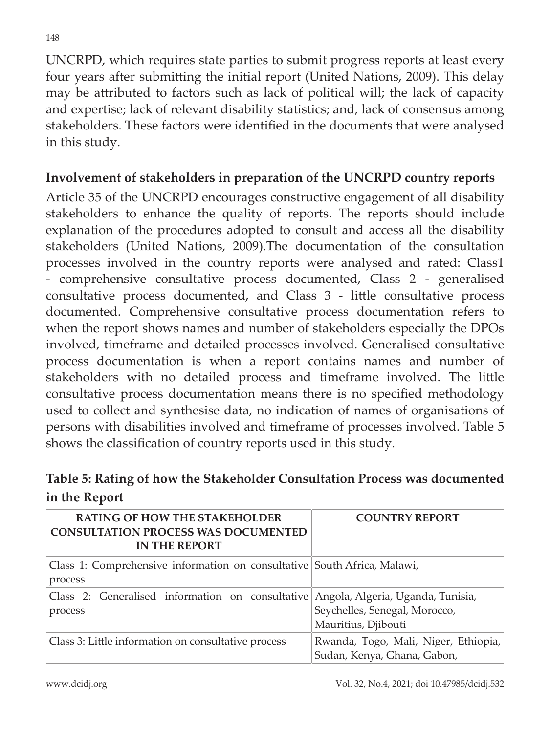UNCRPD, which requires state parties to submit progress reports at least every four years after submitting the initial report (United Nations, 2009). This delay may be attributed to factors such as lack of political will; the lack of capacity and expertise; lack of relevant disability statistics; and, lack of consensus among stakeholders. These factors were identified in the documents that were analysed in this study.

#### **Involvement of stakeholders in preparation of the UNCRPD country reports**

Article 35 of the UNCRPD encourages constructive engagement of all disability stakeholders to enhance the quality of reports. The reports should include explanation of the procedures adopted to consult and access all the disability stakeholders (United Nations, 2009).The documentation of the consultation processes involved in the country reports were analysed and rated: Class1 - comprehensive consultative process documented, Class 2 - generalised consultative process documented, and Class 3 - little consultative process documented. Comprehensive consultative process documentation refers to when the report shows names and number of stakeholders especially the DPOs involved, timeframe and detailed processes involved. Generalised consultative process documentation is when a report contains names and number of stakeholders with no detailed process and timeframe involved. The little consultative process documentation means there is no specified methodology used to collect and synthesise data, no indication of names of organisations of persons with disabilities involved and timeframe of processes involved. Table 5 shows the classification of country reports used in this study.

### **Table 5: Rating of how the Stakeholder Consultation Process was documented in the Report**

| <b>RATING OF HOW THE STAKEHOLDER</b><br><b>CONSULTATION PROCESS WAS DOCUMENTED</b><br><b>IN THE REPORT</b> | <b>COUNTRY REPORT</b>                                                                     |
|------------------------------------------------------------------------------------------------------------|-------------------------------------------------------------------------------------------|
| Class 1: Comprehensive information on consultative South Africa, Malawi,<br>process                        |                                                                                           |
| Class 2: Generalised information on consultative<br>process                                                | Angola, Algeria, Uganda, Tunisia,<br>Seychelles, Senegal, Morocco,<br>Mauritius, Djibouti |
| Class 3: Little information on consultative process                                                        | Rwanda, Togo, Mali, Niger, Ethiopia,<br>Sudan, Kenya, Ghana, Gabon,                       |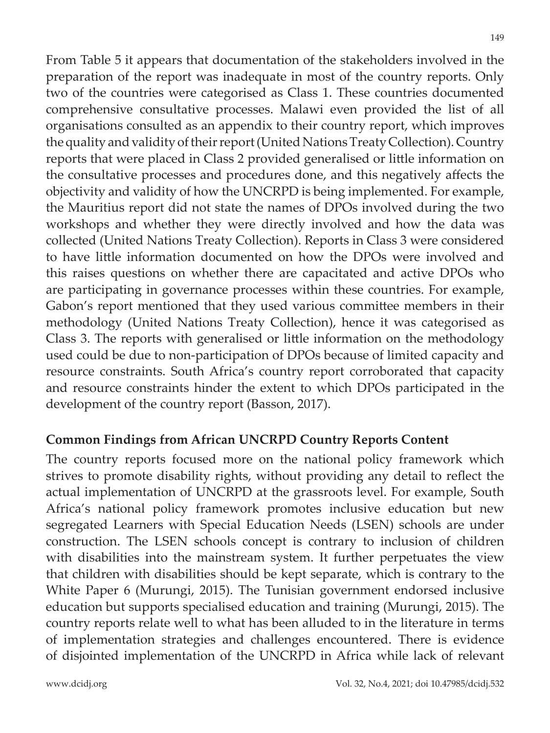From Table 5 it appears that documentation of the stakeholders involved in the preparation of the report was inadequate in most of the country reports. Only two of the countries were categorised as Class 1. These countries documented comprehensive consultative processes. Malawi even provided the list of all organisations consulted as an appendix to their country report, which improves the quality and validity of their report (United Nations Treaty Collection).Country reports that were placed in Class 2 provided generalised or little information on the consultative processes and procedures done, and this negatively affects the objectivity and validity of how the UNCRPD is being implemented. For example, the Mauritius report did not state the names of DPOs involved during the two workshops and whether they were directly involved and how the data was collected (United Nations Treaty Collection). Reports in Class 3 were considered to have little information documented on how the DPOs were involved and this raises questions on whether there are capacitated and active DPOs who are participating in governance processes within these countries. For example, Gabon's report mentioned that they used various committee members in their methodology (United Nations Treaty Collection), hence it was categorised as Class 3. The reports with generalised or little information on the methodology used could be due to non-participation of DPOs because of limited capacity and resource constraints. South Africa's country report corroborated that capacity and resource constraints hinder the extent to which DPOs participated in the development of the country report (Basson, 2017).

#### **Common Findings from African UNCRPD Country Reports Content**

The country reports focused more on the national policy framework which strives to promote disability rights, without providing any detail to reflect the actual implementation of UNCRPD at the grassroots level. For example, South Africa's national policy framework promotes inclusive education but new segregated Learners with Special Education Needs (LSEN) schools are under construction. The LSEN schools concept is contrary to inclusion of children with disabilities into the mainstream system. It further perpetuates the view that children with disabilities should be kept separate, which is contrary to the White Paper 6 (Murungi, 2015). The Tunisian government endorsed inclusive education but supports specialised education and training (Murungi, 2015). The country reports relate well to what has been alluded to in the literature in terms of implementation strategies and challenges encountered. There is evidence of disjointed implementation of the UNCRPD in Africa while lack of relevant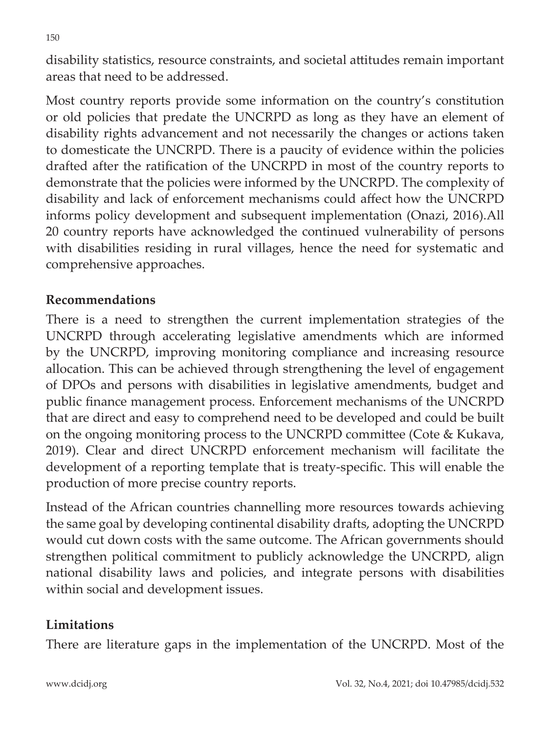disability statistics, resource constraints, and societal attitudes remain important areas that need to be addressed.

Most country reports provide some information on the country's constitution or old policies that predate the UNCRPD as long as they have an element of disability rights advancement and not necessarily the changes or actions taken to domesticate the UNCRPD. There is a paucity of evidence within the policies drafted after the ratification of the UNCRPD in most of the country reports to demonstrate that the policies were informed by the UNCRPD. The complexity of disability and lack of enforcement mechanisms could affect how the UNCRPD informs policy development and subsequent implementation (Onazi, 2016).All 20 country reports have acknowledged the continued vulnerability of persons with disabilities residing in rural villages, hence the need for systematic and comprehensive approaches.

#### **Recommendations**

There is a need to strengthen the current implementation strategies of the UNCRPD through accelerating legislative amendments which are informed by the UNCRPD, improving monitoring compliance and increasing resource allocation. This can be achieved through strengthening the level of engagement of DPOs and persons with disabilities in legislative amendments, budget and public finance management process. Enforcement mechanisms of the UNCRPD that are direct and easy to comprehend need to be developed and could be built on the ongoing monitoring process to the UNCRPD committee (Cote & Kukava, 2019). Clear and direct UNCRPD enforcement mechanism will facilitate the development of a reporting template that is treaty-specific. This will enable the production of more precise country reports.

Instead of the African countries channelling more resources towards achieving the same goal by developing continental disability drafts, adopting the UNCRPD would cut down costs with the same outcome. The African governments should strengthen political commitment to publicly acknowledge the UNCRPD, align national disability laws and policies, and integrate persons with disabilities within social and development issues.

### **Limitations**

There are literature gaps in the implementation of the UNCRPD. Most of the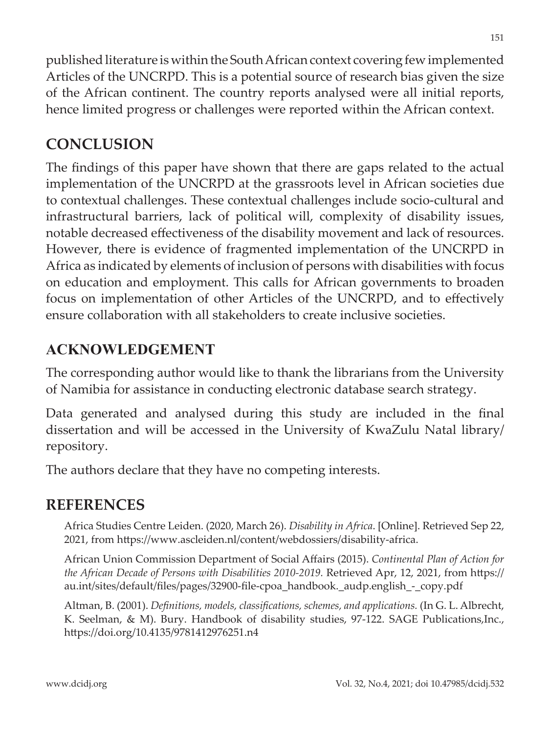published literature is within the South African context covering few implemented Articles of the UNCRPD. This is a potential source of research bias given the size of the African continent. The country reports analysed were all initial reports, hence limited progress or challenges were reported within the African context.

## **CONCLUSION**

The findings of this paper have shown that there are gaps related to the actual implementation of the UNCRPD at the grassroots level in African societies due to contextual challenges. These contextual challenges include socio-cultural and infrastructural barriers, lack of political will, complexity of disability issues, notable decreased effectiveness of the disability movement and lack of resources. However, there is evidence of fragmented implementation of the UNCRPD in Africa as indicated by elements of inclusion of persons with disabilities with focus on education and employment. This calls for African governments to broaden focus on implementation of other Articles of the UNCRPD, and to effectively ensure collaboration with all stakeholders to create inclusive societies.

## **ACKNOWLEDGEMENT**

The corresponding author would like to thank the librarians from the University of Namibia for assistance in conducting electronic database search strategy.

Data generated and analysed during this study are included in the final dissertation and will be accessed in the University of KwaZulu Natal library/ repository.

The authors declare that they have no competing interests.

## **REFERENCES**

Africa Studies Centre Leiden. (2020, March 26). *Disability in Africa*. [Online]. Retrieved Sep 22, 2021, from https://www.ascleiden.nl/content/webdossiers/disability-africa.

African Union Commission Department of Social Affairs (2015). *Continental Plan of Action for the African Decade of Persons with Disabilities 2010-2019.* Retrieved Apr, 12, 2021, from https:// au.int/sites/default/files/pages/32900-file-cpoa\_handbook.\_audp.english\_-\_copy.pdf

Altman, B. (2001). *Definitions, models, classifications, schemes, and applications.* (In G. L. Albrecht, K. Seelman, & M). Bury. Handbook of disability studies, 97-122. SAGE Publications,Inc., https://doi.org/10.4135/9781412976251.n4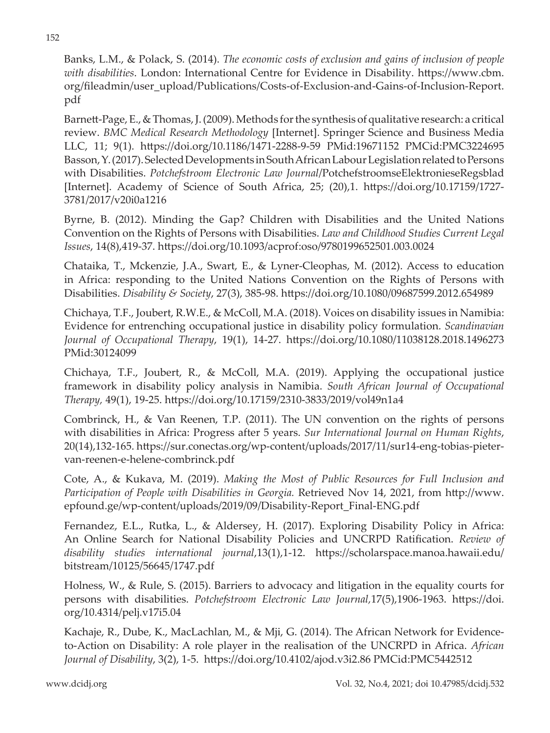Banks, L.M., & Polack, S. (2014). *The economic costs of exclusion and gains of inclusion of people with disabilities*. London: International Centre for Evidence in Disability. https://www.cbm. org/fileadmin/user\_upload/Publications/Costs-of-Exclusion-and-Gains-of-Inclusion-Report. pdf

Barnett-Page, E., & Thomas, J. (2009). Methods for the synthesis of qualitative research: a critical review. *BMC Medical Research Methodology* [Internet]. Springer Science and Business Media LLC, 11; 9(1). https://doi.org/10.1186/1471-2288-9-59 PMid:19671152 PMCid:PMC3224695 Basson, Y. (2017). Selected Developments in South African Labour Legislation related to Persons with Disabilities. *Potchefstroom Electronic Law Journal*/PotchefstroomseElektronieseRegsblad [Internet]. Academy of Science of South Africa, 25; (20),1. https://doi.org/10.17159/1727- 3781/2017/v20i0a1216

Byrne, B. (2012). Minding the Gap? Children with Disabilities and the United Nations Convention on the Rights of Persons with Disabilities. *Law and Childhood Studies Current Legal Issues*, 14(8),419-37. https://doi.org/10.1093/acprof:oso/9780199652501.003.0024

Chataika, T., Mckenzie, J.A., Swart, E., & Lyner-Cleophas, M. (2012). Access to education in Africa: responding to the United Nations Convention on the Rights of Persons with Disabilities. *Disability & Society*, 27(3), 385-98. https://doi.org/10.1080/09687599.2012.654989

Chichaya, T.F., Joubert, R.W.E., & McColl, M.A. (2018). Voices on disability issues in Namibia: Evidence for entrenching occupational justice in disability policy formulation. *Scandinavian Journal of Occupational Therapy*, 19(1), 14-27. https://doi.org/10.1080/11038128.2018.1496273 PMid:30124099

Chichaya, T.F., Joubert, R., & McColl, M.A. (2019). Applying the occupational justice framework in disability policy analysis in Namibia. *South African Journal of Occupational Therapy,* 49(1), 19-25. https://doi.org/10.17159/2310-3833/2019/vol49n1a4

Combrinck, H., & Van Reenen, T.P. (2011). The UN convention on the rights of persons with disabilities in Africa: Progress after 5 years. *Sur International Journal on Human Rights*, 20(14),132-165. https://sur.conectas.org/wp-content/uploads/2017/11/sur14-eng-tobias-pietervan-reenen-e-helene-combrinck.pdf

Cote, A., & Kukava, M. (2019). *Making the Most of Public Resources for Full Inclusion and Participation of People with Disabilities in Georgia.* Retrieved Nov 14, 2021, from http://www. epfound.ge/wp-content/uploads/2019/09/Disability-Report\_Final-ENG.pdf

Fernandez, E.L., Rutka, L., & Aldersey, H. (2017). Exploring Disability Policy in Africa: An Online Search for National Disability Policies and UNCRPD Ratification. *Review of disability studies international journal*,13(1),1-12. https://scholarspace.manoa.hawaii.edu/ bitstream/10125/56645/1747.pdf

Holness, W., & Rule, S. (2015). Barriers to advocacy and litigation in the equality courts for persons with disabilities. *Potchefstroom Electronic Law Journal,*17(5),1906-1963. https://doi. org/10.4314/pelj.v17i5.04

Kachaje, R., Dube, K., MacLachlan, M., & Mji, G. (2014). The African Network for Evidenceto-Action on Disability: A role player in the realisation of the UNCRPD in Africa. *African Journal of Disability*, 3(2), 1-5. https://doi.org/10.4102/ajod.v3i2.86 PMCid:PMC5442512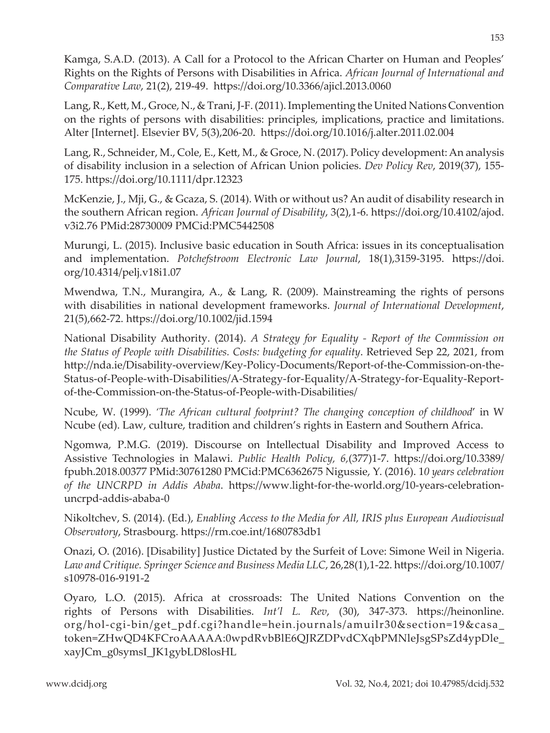Kamga, S.A.D. (2013). A Call for a Protocol to the African Charter on Human and Peoples' Rights on the Rights of Persons with Disabilities in Africa. *African Journal of International and Comparative Law*, 21(2), 219-49. https://doi.org/10.3366/ajicl.2013.0060

Lang, R., Kett, M., Groce, N., & Trani, J-F. (2011). Implementing the United Nations Convention on the rights of persons with disabilities: principles, implications, practice and limitations. Alter [Internet]. Elsevier BV, 5(3),206-20. https://doi.org/10.1016/j.alter.2011.02.004

Lang, R., Schneider, M., Cole, E., Kett, M., & Groce, N. (2017). Policy development: An analysis of disability inclusion in a selection of African Union policies. *Dev Policy Rev*, 2019(37), 155- 175. https://doi.org/10.1111/dpr.12323

McKenzie, J., Mji, G., & Gcaza, S. (2014). With or without us? An audit of disability research in the southern African region. *African Journal of Disability*, 3(2),1-6. https://doi.org/10.4102/ajod. v3i2.76 PMid:28730009 PMCid:PMC5442508

Murungi, L. (2015). Inclusive basic education in South Africa: issues in its conceptualisation and implementation. *Potchefstroom Electronic Law Journal*, 18(1),3159-3195. https://doi. org/10.4314/pelj.v18i1.07

Mwendwa, T.N., Murangira, A., & Lang, R. (2009). Mainstreaming the rights of persons with disabilities in national development frameworks. *Journal of International Development*, 21(5),662-72. https://doi.org/10.1002/jid.1594

National Disability Authority. (2014). *A Strategy for Equality - Report of the Commission on the Status of People with Disabilities. Costs: budgeting for equality*. Retrieved Sep 22, 2021, from http://nda.ie/Disability-overview/Key-Policy-Documents/Report-of-the-Commission-on-the-Status-of-People-with-Disabilities/A-Strategy-for-Equality/A-Strategy-for-Equality-Reportof-the-Commission-on-the-Status-of-People-with-Disabilities/

Ncube, W. (1999). *'The African cultural footprint? The changing conception of childhood*' in W Ncube (ed). Law, culture, tradition and children's rights in Eastern and Southern Africa.

Ngomwa, P.M.G. (2019). Discourse on Intellectual Disability and Improved Access to Assistive Technologies in Malawi. *Public Health Policy, 6,*(377)1-7. https://doi.org/10.3389/ fpubh.2018.00377 PMid:30761280 PMCid:PMC6362675 Nigussie, Y. (2016). 1*0 years celebration of the UNCRPD in Addis Ababa*. https://www.light-for-the-world.org/10-years-celebrationuncrpd-addis-ababa-0

Nikoltchev, S. (2014). (Ed.), *Enabling Access to the Media for All, IRIS plus European Audiovisual Observatory*, Strasbourg. https://rm.coe.int/1680783db1

Onazi, O. (2016). [Disability] Justice Dictated by the Surfeit of Love: Simone Weil in Nigeria. *Law and Critique. Springer Science and Business Media LLC*, 26,28(1),1-22. https://doi.org/10.1007/ s10978-016-9191-2

Oyaro, L.O. (2015). Africa at crossroads: The United Nations Convention on the rights of Persons with Disabilities. *Int'l L. Rev*, (30), 347-373. https://heinonline. org/hol-cgi-bin/get\_pdf.cgi?handle=hein.journals/amuilr30&section=19&casa token=ZHwQD4KFCroAAAAA:0wpdRvbBlE6QJRZDPvdCXqbPMNleJsgSPsZd4ypDle\_ xayJCm\_g0symsI\_JK1gybLD8losHL